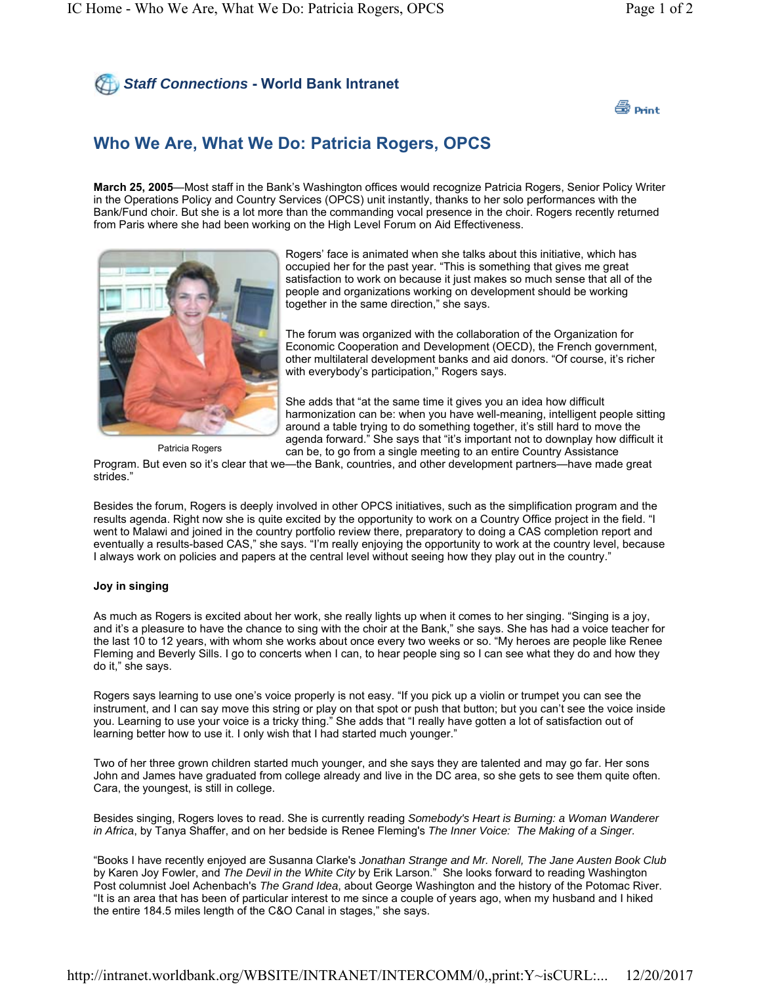## *Staff Connections* **- World Bank Intranet**



## **Who We Are, What We Do: Patricia Rogers, OPCS**

**March 25, 2005**—Most staff in the Bank's Washington offices would recognize Patricia Rogers, Senior Policy Writer in the Operations Policy and Country Services (OPCS) unit instantly, thanks to her solo performances with the Bank/Fund choir. But she is a lot more than the commanding vocal presence in the choir. Rogers recently returned from Paris where she had been working on the High Level Forum on Aid Effectiveness.



Rogers' face is animated when she talks about this initiative, which has occupied her for the past year. "This is something that gives me great satisfaction to work on because it just makes so much sense that all of the people and organizations working on development should be working together in the same direction," she says.

The forum was organized with the collaboration of the Organization for Economic Cooperation and Development (OECD), the French government, other multilateral development banks and aid donors. "Of course, it's richer with everybody's participation," Rogers says.

She adds that "at the same time it gives you an idea how difficult harmonization can be: when you have well-meaning, intelligent people sitting around a table trying to do something together, it's still hard to move the agenda forward." She says that "it's important not to downplay how difficult it can be, to go from a single meeting to an entire Country Assistance

Patricia Rogers

Program. But even so it's clear that we—the Bank, countries, and other development partners—have made great strides."

Besides the forum, Rogers is deeply involved in other OPCS initiatives, such as the simplification program and the results agenda. Right now she is quite excited by the opportunity to work on a Country Office project in the field. "I went to Malawi and joined in the country portfolio review there, preparatory to doing a CAS completion report and eventually a results-based CAS," she says. "I'm really enjoying the opportunity to work at the country level, because I always work on policies and papers at the central level without seeing how they play out in the country."

## **Joy in singing**

As much as Rogers is excited about her work, she really lights up when it comes to her singing. "Singing is a joy, and it's a pleasure to have the chance to sing with the choir at the Bank," she says. She has had a voice teacher for the last 10 to 12 years, with whom she works about once every two weeks or so. "My heroes are people like Renee Fleming and Beverly Sills. I go to concerts when I can, to hear people sing so I can see what they do and how they do it," she says.

Rogers says learning to use one's voice properly is not easy. "If you pick up a violin or trumpet you can see the instrument, and I can say move this string or play on that spot or push that button; but you can't see the voice inside you. Learning to use your voice is a tricky thing." She adds that "I really have gotten a lot of satisfaction out of learning better how to use it. I only wish that I had started much younger."

Two of her three grown children started much younger, and she says they are talented and may go far. Her sons John and James have graduated from college already and live in the DC area, so she gets to see them quite often. Cara, the youngest, is still in college.

Besides singing, Rogers loves to read. She is currently reading *Somebody's Heart is Burning: a Woman Wanderer in Africa*, by Tanya Shaffer, and on her bedside is Renee Fleming's *The Inner Voice: The Making of a Singer.* 

"Books I have recently enjoyed are Susanna Clarke's *Jonathan Strange and Mr. Norell, The Jane Austen Book Club* by Karen Joy Fowler, and *The Devil in the White City* by Erik Larson." She looks forward to reading Washington Post columnist Joel Achenbach's *The Grand Idea*, about George Washington and the history of the Potomac River. "It is an area that has been of particular interest to me since a couple of years ago, when my husband and I hiked the entire 184.5 miles length of the C&O Canal in stages," she says.